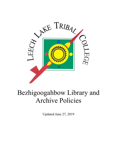

# Bezhigoogahbow Library and Archive Policies

Updated June 27, 2019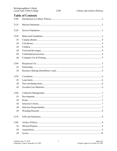| Bezhigoogahbow Library<br>Leech Lake Tribal College |                          | 2100 | Library and Archive Policies |
|-----------------------------------------------------|--------------------------|------|------------------------------|
|                                                     | <b>Table of Contents</b> |      |                              |
| 2100                                                |                          |      |                              |
| 2110                                                |                          |      |                              |
| 2120                                                |                          |      |                              |
|                                                     |                          |      |                              |
| 2130                                                |                          |      |                              |
| .01                                                 |                          |      |                              |
| .02                                                 |                          |      |                              |
| .03                                                 |                          |      |                              |
| .04                                                 |                          |      |                              |
| .05                                                 |                          |      |                              |
| .06                                                 |                          |      |                              |
| 2140                                                |                          |      |                              |
| .01                                                 |                          |      |                              |
| .02                                                 |                          |      |                              |
| 2150                                                |                          |      |                              |
| .01                                                 |                          |      |                              |
| .02                                                 |                          |      |                              |
| .03                                                 |                          |      |                              |
|                                                     |                          |      |                              |
| .01                                                 |                          |      |                              |
| .02                                                 |                          |      |                              |
| .03                                                 |                          |      |                              |
| .04                                                 |                          |      |                              |
| .05                                                 |                          |      |                              |
|                                                     |                          |      |                              |
| 2170                                                |                          |      |                              |
| 2180                                                |                          |      |                              |
| .01                                                 |                          |      |                              |
| .02                                                 |                          |      |                              |
| .03                                                 |                          |      |                              |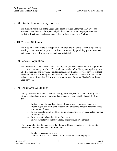## 2100 Introduction to Library Policies

The mission statements of the Leech Lake Tribal College Library and Archives are intended to outline the philosophy and principles that represent the purpose and that guide the direction of the Leech Lake Tribal College Library and Archives.

# 2110 Mission Statement

The mission of the Library is to support the mission and the goals of the College and its learning community and to preserve Anishinaabe culture by providing quality resources and capable service from a professional, dedicated staff.

# 2120 Service Population

The Library serves the current College faculty, staff, and students in addition to providing services to community members. The academic mission of the library takes priority over all other functions and services. The Bezhigoogahbow Library provides services to local academic libraries at Bemidji State University and Northwest Technical College through a shared electronic catalog (Primo), and beyond through Resource Sharing/Interlibrary Loan services.

# 2130 Behavioral Guidelines

Library users are expected to treat the facility, resources, staff and fellow library users with respect and courtesy, recognizing that each patron has individual needs for library use.

- 1. Protect rights of individuals to use library property, materials, and services;
- 2. Protect rights of library employees and volunteers to conduct library business without interference;
- 3. Ensure the safe use of facilities, materials, and services by the greatest number of individuals;
- 4. Preserve materials and facilities from harm;
- 5. Ensure the safety of library patrons, employees, and volunteers.

Any misconduct that hinders use of the library or library materials is prohibited. Such misconduct may include, but is not limited to:

- 1. Loud or boisterous behavior;
- 2. Conversation that is disturbing to other individuals or employees;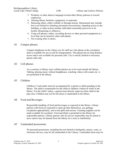- 3. Profanity or other abusive language toward other library patrons or toward employees;
- 4. Abusing library furniture, equipment, or materials;
- 5. Harassing others, either verbally or through actions. Harassment may include but is not limited to initiating unwanted conversations; impeding access to the building; or other actions another individual reasonably perceives to be hostile, threatening or offensive;
- 6. Using cell phones, radios, recording devices or other personal equipment at a level that can be heard by other individuals;
- 7. Not wearing shirt or shoes;
- .01 Campus phones

Campus telephones in the Library are for staff use. One phone at the circulation desk is available for use to call for transportation. This phone has no long distance access and is not available for personal calls. Use is strictly limited to necessary patron calls only.

#### .02 Cell phones

As a courtesy to library users cellular phones are to be used outside the library. Talking, playing music without headphones, watching videos with sound, etc. is not permitted in the library.

#### .03 Children

Children 12 and under must be accompanied by a parent or adult guarding in the library. The adult is responsible for the child or children's behavior while in the library. For the child's safety, a parent must directly supervise their child in the play area. Children may not be left alone or unattended in the library.

#### .04 Food and Beverages

Responsible handling of food and beverages is expected in the library. Library patrons with food are expected to clean up after themselves, use garbage receptacles appropriately, and avoid spills and messes. Cleaning supplies can be made available for accidents. Food and drink is permitted in the library for responsible patrons. Library patrons who do not act responsibly may be asked to leave and/or may be banned from the library for a term or indefinitely.

#### .05 Unattended possessions

No personal possessions, including but not limited to backpacks, purses, coats, or electronic devices, may be left unattended in the Library. Unattended items may be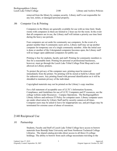removed from the library by campus security. Library staff is not responsible for any lost, stolen, or damaged personal property.

#### .06 Computer Use & Printing

Computers in the library are generally available for use with no time limit. Study rooms with computers in them are limited to 2 hour use for the room. In the event that all computers are in use, the Library staff will initiate a priority use time limit during the heavy use periods.

Four computers are set aside for community use computers. In the event of a greater number than 4 community users arrive, Library staff may set up another computer for temporary use of a single community member. After the initial user is done or another of the 4 designated computers becomes open, the Library staff will no longer open additional computers for public use.

Printing is free for students, faculty and staff. Printing for community members is free for a reasonable limit. Printing for personal or professional businesses, however, must go through the Leech Lake Tribal College Print Shop and is not allowed on Library printers.

To protect the privacy of the computer user, printing must be removed immediately from the printer. No printing will be stored or held by Library staff for unknown users. Any printing found with personal identification on it will be shredded to maintain privacy of the individual.

Copyrighted materials may not be printed on the Library's copy machine.

For a full statement of acceptable uses of LLTC's Information Systems, Compliance, and Guidelines for use of LLTC Computers and IT resources, see the college website under Resources – Campus Operations. The Bezhigoogahbow Library follows and enforces IT Policy for computer users. Library computer users are under observation by Library Staff and by security camera at all times. Computer users may be asked to leave for inappropriate use, and privileges may be terminated for extreme cases of abuse of resources.

## 2140 Reciprocal Use

#### .01 Partnership

Students, Faculty and Staff of Leech Lake Tribal College have access to borrow materials from Bemidji State University and from Northwest Technical College Libraries. The shared catalog provides direct access to all three (3) college holdings. The ability to borrow from each college necessitates traveling to the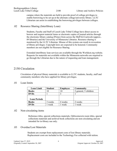campus where the materials are held to provide proof of college privileges to enable borrowing to be set up at the alternate college/university library. LLTC Librarian can assist in establishing the borrowing privileges between colleges.

### .02 Resource Sharing (Interlibrary Loan)

Students, Faculty and Staff of Leech Lake Tribal College have direct access to borrow and request material items or electronic copies of journal articles through the electronic library catalog (Primo) from across the MnPALS network (approx.. 89 libraries) and the University of Minnesota Libraries. Resource sharing is monitored by the LLTC Librarian. Misuse of this system can result in revocation of library privileges. Copyright laws are expected to be honored. Community members are not eligible for Resource Sharing.

Extended interlibrary loan services are available through the Worldcat.org website. Requests for materials not available within the Minnesota networks are required to go through the Librarian due to the nature of requesting and loan management.

# 2150 Circulation

Circulation of physical library materials is available to LLTC students, faculty, staff and community members who have applied for library privileges.

## .01 Loan limits

| <b>Loan Limit</b>   | <b>Student</b> | <b>Employee</b> | <b>Community</b>      |
|---------------------|----------------|-----------------|-----------------------|
| <b>Books</b>        |                | 10              | 2 general, 5 children |
| <b>DVDs</b>         |                |                 |                       |
|                     |                |                 |                       |
| <b>Loan Periods</b> |                |                 |                       |
| <b>Books</b>        | weeks          | 4 weeks         | 2 weeks               |
| <b>DVDs</b>         | week           | week            | week                  |

#### .02 Non-circulating items

Reference titles, special collections materials, Ojibwemowin room titles, special collections materials and archival book collections are non-circulating and are intended for in-library use only.

## .03 Overdue/Lost Materials

Students are exempt from replacement costs of lost library materials. Replacement costs are included in the Technology Fee collected with tuition.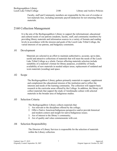Faculty, staff and Community members are responsible for the cost of overdue or lost materials fees, including automatic payroll deduction for not returning library materials.

# 2160 Collection Management

It is the aim of the Bezhigoogahbow Library to support the informational, educational and cultural needs of our patrons (students, faculty, staff, and community members) by providing library materials and information sources in a variety of formats and reading levels in accordance with the mission and goals of the Leech Lake Tribal College, the varied interests of our patrons, and budgetary constraints.

#### .01 Development

Materials are selected in an effort to maintain authoritative, accurate, up-to-date, useful and attractive collections of materials that will meet the needs of the Leech Lake Tribal College as a whole. Factors affecting materials selection include suitability of a material's format for library purposes, availability of funds, availability of new materials in needed subject areas, replacement of outdated and worn materials (weeding) and space.

#### .02 Scope

The Bezhigoogahbow Library gathers primarily materials to support, supplement and complement the educational mission of the institution and to reflect the interests and needs of the learning community. The collection will support basic research in the curricular areas offered by the College. In addition, the library will collect materials that support the study of Anishinaabe culture with selected materials in the broader area of Indigenous studies.

#### .03 Selection Criteria

The Bezhigoogahbow Library collects materials that:

- 1. Are relevant to the disciplines offered by the college;
- 2. Offer a Native American/Indigenous perspective and/or provide historical and modern context and insight for native/Indigenous issues;
- 3. Are of interest to the library's community;
- 4. Are of quality and value commensurate with cost.

#### .04 Selection Responsibility

The Director of Library Services is responsible for the selection of materials within the Library collection.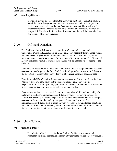#### .05 Weeding/Discards

Materials may be discarded from the Library on the basis of unusable physical condition, out-of-scope content, outdated information, lack of shelf space, and lack of use (as recorded by the item's circulation history). The weeding of materials from the Library's collection is a normal and necessary function of responsible librarianship. Records of discarded materials will be maintained by the Director of Library Services.

## 2170 Gifts and Donations

The Bezhigoogahbow Library accepts donations of clean, tight bound books, unscratched DVDs and Audiobooks on CD. The Library accepts titles published within the most recent 20-year period. Some relevant or classic titles from the early to midtwentieth century may be considered for the nature of the print volume. The Director of Library Services determines whether the donation will be appropriate for adding to the collection.

Donations are accepted for the Free Bookshelf as well. Out-of-scope materials accepted on donation may be put on the Free Bookshelf for adoption by visitors to the Library at the discretion of Library staff. Dirty, dusty, old books are generally not acceptable.

Donations and Gifts of a claimed monetary value exceeding \$500, or as determined by state or federal law, may be subject to tax deductions. The Library takes no responsibility for providing advice, appraisal of donations, or otherwise consultation on titles. The donor is recommended to seek professional guidance.

Once a donation has been accepted, the donor relinquishes all title and ownership of the materials to the LLTC Bezhigoogahbow Library, without reserve. The Director of Library Services may determine disposition of all donated materials. Materials accepted on donation for the Archive undergo a separate, documented process. The Bezhigoogahbow Library Staff is not in any way responsible for unintended donations – the donor is responsible for knowing clearly all material donated to the Library and that it may be impossible to return any items after the donation is accepted.

## 2180 Archive Policies

#### .01 Mission/Purpose

The Mission of the Leech Lake Tribal College Archive is to support and strengthen teaching, learning, and research by providing collections, services, and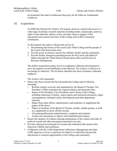environments that lead to intellectual discovery for all within an Anishinaabe worldview.

#### .02 Acquisitions

To fulfill this Mission the Archive will acquire, preserve, and provide access to a wide range of primary research materials including books, manuscripts, archives, audio-visual materials, objects, realia, and other items in support of the educational and research activities of the College and LLBO Community constituents.

To this purpose the archive will provide service in:

- 1. Documenting the history of the Leech Lake Tribal College and the people of the Leech Lake Reservation area;
- 2. Provide access to primary sources for students, faculty and the community;
- 3. Provide facility storage/accessioning/access for the Leech Lake Band of Ojibwe through the Tribal Historic Preservation office and Division of Resource Management.

The archive acquisitions policy serves to emphasize collection development to serve the purpose toward fulfillment of the Mission. The Archive is selective in increasing its collection. The list below identifies the areas of primary collection emphasis:

The Archive will responsibly

- Select only those records that best document the College and its Mission, including:
	- o Records created, received, and maintained by the Board of Trustees. The President's Office maintains the original minutes and document files;
	- o Papers of the President, Vice-Presidents and/or Deans of the College, including statements of policy, major reports and statistical summaries, major correspondence relating to policy development and other appropriate material;
	- o Papers from other offices, administrative and academic, to supplement the papers of the above;
	- o Papers of members of the Board of Trustees, faculty, student groups, or staff as a supplement to these official records;
	- o All printed publications (administrative, academic and student);
	- o Accept only documents or objects with established provenance.
- Ensure the integrity of evidence through maintenance of the context and order of archival records and other documents entrusted to its care;
- Provide a physical environment for records and collections that ensures their long-term viability and usefulness;
- Collaborate with the LLBO Department of Resource Management and other LLBO agencies to act as a repository for objects or collections that provide educational or research opportunities to the College and community.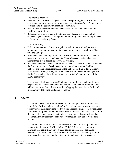The Archive does not:

- Seek donations of personal objects or realia except through the LLBO THPO or in exceptional circumstance whereby a personal collection is of specific interest or application to the educational teaching of the College.
- Hold items for preservation that have no access for research, education, or teaching opportunities.
- Release items to individuals without documented cause and intent and full provenance; and submitted for approval with thorough documentation/provenance to the Archival Advisory Council.

The Archive may:

- Hold cultural and sacred objects, regalia or realia for educational purposes
- Maintain its own cultural ceremonial attendants and elder counsel not affiliated with the College.
- Provide its own ceremony to protect, cleanse, and care for cultural and sacred objects or realia upon original receipt of those objects or realia and as regular maintenance that is not affiliated with the College.
- Establish and appoint representatives to an Archival Advisory Council to include the Director of Library Services (Archivist), one elder associated with the College, one financial representative of the College, the LLBO Tribal Historic Preservation Officer, Employees of the Department of Resource Management (LLBO), a member of the Tribal Council (as available), and members of the LLBO community.

The Director of Library Services (Archivist) for the Bezhigoogahbow Library is responsible for the management and oversight of the Archive, communication with the Advisory Council, and selection of appropriate materials to be included in the Archive following guidelines set above.

## **.03 Access**

The Archive has a three-fold purpose of documenting the history of the Leech Lake Tribal College and the people of the Leech Lake area, providing access to primary sources, and providing facility storage/accessioning/access for the Leech Lake Band of Ojibwe through the Tribal Historic Preservation office and Cultural Resources division. Access to materials in the archive is determined based on each individual object/manuscript, its provenance, and any donor restrictions imposed.

The Archive makes its resources and services available to all people including students, faculty and staff of Leech Lake Tribal College, and community members. The archive may have a legal, institutional, or other obligation to restrict access to some collections or parts of collections. Access may be limited to some collections based on the object, traditional use, or its provenance.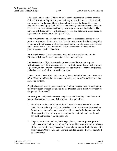The Leech Lake Band of Ojibwe, Tribal Historic Preservation Officer, or other Cultural Resources Department personnel may set restrictions on objects which are owned by the Tribe and held in the archive through the Tribe. These items may retain ownership by the LLBO (as documented) and therefore are subject to access and use restrictions specified by those representatives listed above. The Director of Library Services will maintain records and determine access based on agreements or restrictions levied by the Tribe.

**Who to Contact**: The Director of Library Services oversees all access by any persons or groups to the Archive. The Director must ensure that the access policy is applied without reserve to all groups based on the limitations recorded for each object or collection. The Director will inform researchers of the conditions governing access to its collections.

**How to get access**: Users/researchers must make an appointment with the Director of Library Services to receive access to the archive.

**Use Restrictions**: Object/manuscript provenance will document any use restrictions as part of the accession record. Restrictions are determined by donor agreement, cultural and/or Tribal restrictions, age/fragility concerns, uniqueness, and other criteria which set the collection apart.

**Loans:** Limited parts of the collection may be available for loan at the discretion of the Director and based on the content, quality, and use of the collection being requested for loan.

**Physical access**: Most objects/manuscripts/archive material must be used within the archive room or room designated by the Director, under direct supervision by designated Library staff.

**Handling**: Most objects/manuscripts require special handling. The Director will provide instruction as needed; following are a few guidelines:

- 1. Materials must be handled carefully. All materials must be used flat on the table. Do not make any marks on materials or affix extraneous items such as Post-It notes. No books, papers or other objects may be laid upon materials. Please report to the staff any concerns about the material, and comply with any staff instructions regarding material.
- 2. No pens, permanent markers, book bags, phones, cameras, purses, personal books, recording devices, etc. allowed in the archive room without permission of the Director of Library Services. Absolutely no food or drink allowed in the archive room. Only pencil and paper is permitted, unless otherwise permitted by the Director.